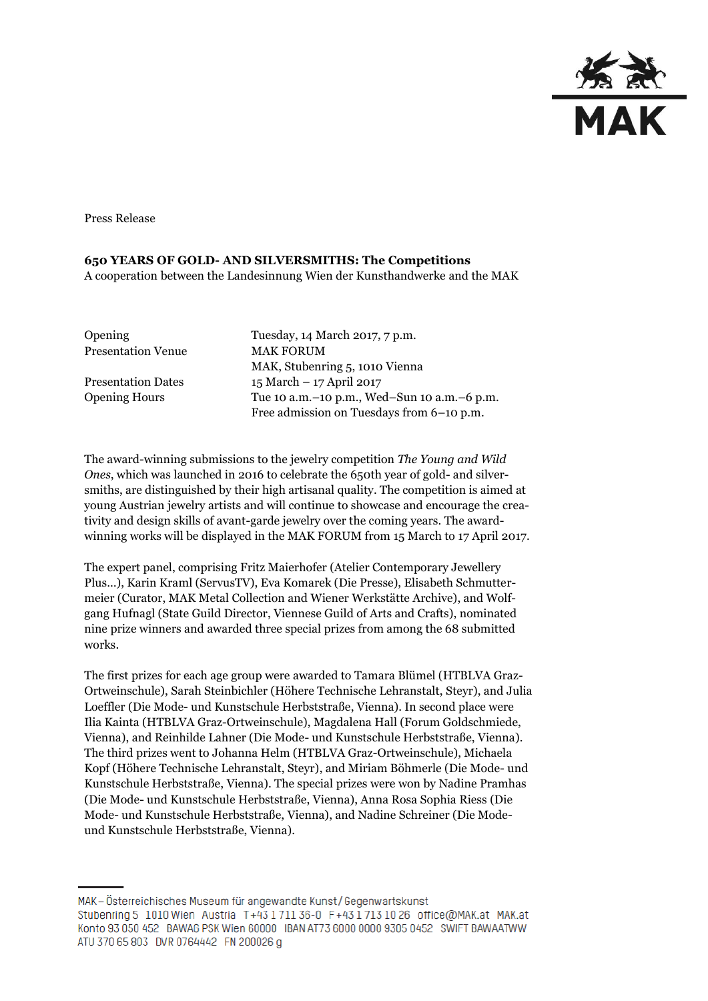

Press Release

## **650 YEARS OF GOLD- AND SILVERSMITHS: The Competitions**

A cooperation between the Landesinnung Wien der Kunsthandwerke and the MAK

| <b>Opening</b>            | Tuesday, 14 March 2017, 7 p.m.                  |
|---------------------------|-------------------------------------------------|
| <b>Presentation Venue</b> | <b>MAK FORUM</b>                                |
|                           | MAK, Stubenring 5, 1010 Vienna                  |
| <b>Presentation Dates</b> | 15 March - 17 April 2017                        |
| <b>Opening Hours</b>      | Tue 10 a.m. - 10 p.m., Wed-Sun 10 a.m. - 6 p.m. |
|                           | Free admission on Tuesdays from 6-10 p.m.       |

The award-winning submissions to the jewelry competition *The Young and Wild Ones*, which was launched in 2016 to celebrate the 650th year of gold- and silversmiths, are distinguished by their high artisanal quality. The competition is aimed at young Austrian jewelry artists and will continue to showcase and encourage the creativity and design skills of avant-garde jewelry over the coming years. The awardwinning works will be displayed in the MAK FORUM from 15 March to 17 April 2017.

The expert panel, comprising Fritz Maierhofer (Atelier Contemporary Jewellery Plus…), Karin Kraml (ServusTV), Eva Komarek (Die Presse), Elisabeth Schmuttermeier (Curator, MAK Metal Collection and Wiener Werkstätte Archive), and Wolfgang Hufnagl (State Guild Director, Viennese Guild of Arts and Crafts), nominated nine prize winners and awarded three special prizes from among the 68 submitted works.

The first prizes for each age group were awarded to Tamara Blümel (HTBLVA Graz-Ortweinschule), Sarah Steinbichler (Höhere Technische Lehranstalt, Steyr), and Julia Loeffler (Die Mode- und Kunstschule Herbststraße, Vienna). In second place were Ilia Kainta (HTBLVA Graz-Ortweinschule), Magdalena Hall (Forum Goldschmiede, Vienna), and Reinhilde Lahner (Die Mode- und Kunstschule Herbststraße, Vienna). The third prizes went to Johanna Helm (HTBLVA Graz-Ortweinschule), Michaela Kopf (Höhere Technische Lehranstalt, Steyr), and Miriam Böhmerle (Die Mode- und Kunstschule Herbststraße, Vienna). The special prizes were won by Nadine Pramhas (Die Mode- und Kunstschule Herbststraße, Vienna), Anna Rosa Sophia Riess (Die Mode- und Kunstschule Herbststraße, Vienna), and Nadine Schreiner (Die Modeund Kunstschule Herbststraße, Vienna).

MAK - Österreichisches Museum für angewandte Kunst/Gegenwartskunst Stubenring 5 1010 Wien Austria T+43 1 711 36-0 F+43 1 713 10 26 office@MAK.at MAK.at Konto 93 050 452 BAWAG PSK Wien 60000 IBAN AT73 6000 0000 9305 0452 SWIFT BAWAATWW ATU 370 65 803 DVR 0764442 FN 200026 g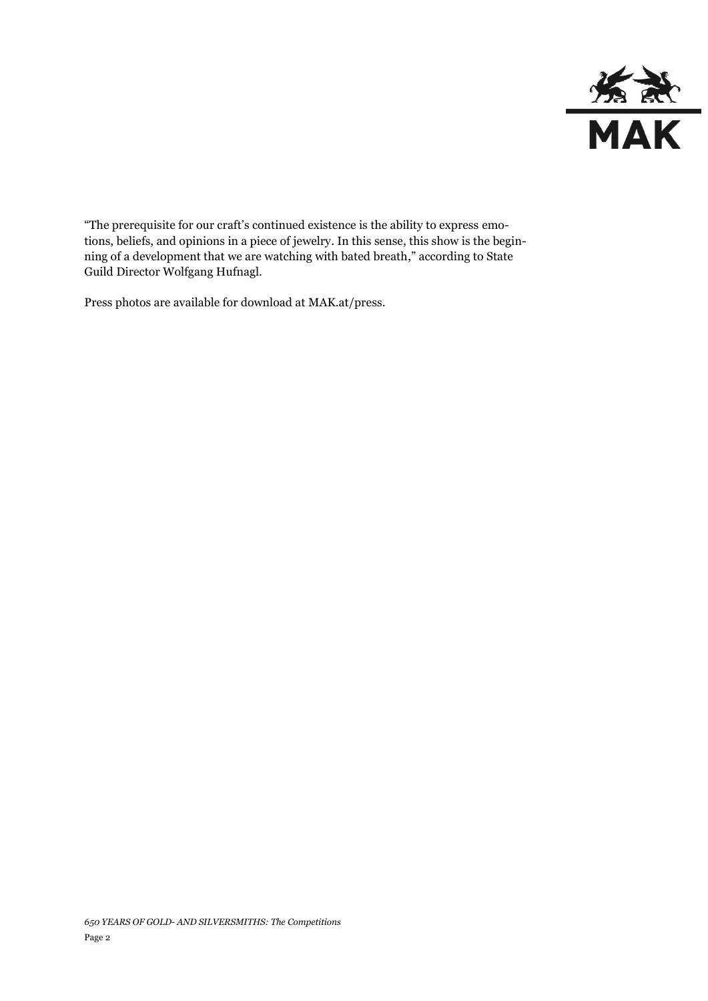

"The prerequisite for our craft's continued existence is the ability to express emotions, beliefs, and opinions in a piece of jewelry. In this sense, this show is the beginning of a development that we are watching with bated breath," according to State Guild Director Wolfgang Hufnagl.

Press photos are available for download at MAK.at/press.